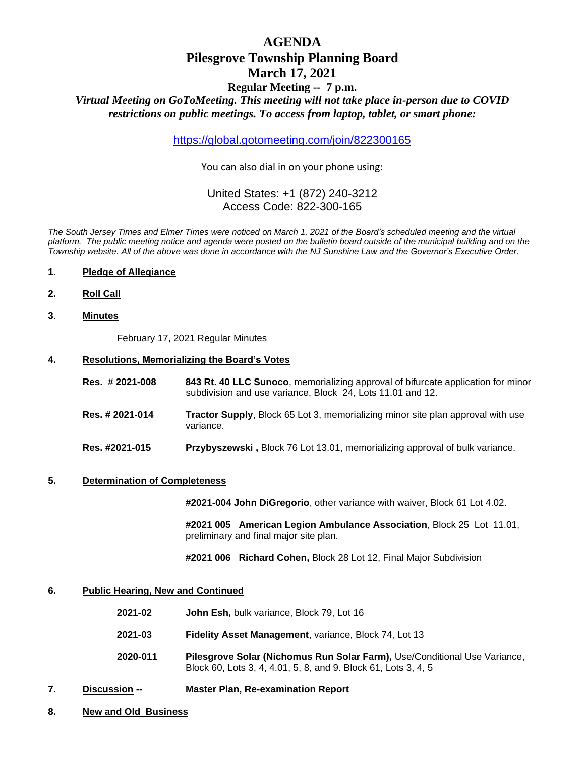# **AGENDA Pilesgrove Township Planning Board March 17, 2021**

# **Regular Meeting -- 7 p.m.**

*Virtual Meeting on GoToMeeting. This meeting will not take place in-person due to COVID restrictions on public meetings. To access from laptop, tablet, or smart phone:*

<https://global.gotomeeting.com/join/822300165>

You can also dial in on your phone using:

## United States: +1 (872) 240-3212 Access Code: 822-300-165

*The South Jersey Times and Elmer Times were noticed on March 1, 2021 of the Board's scheduled meeting and the virtual platform. The public meeting notice and agenda were posted on the bulletin board outside of the municipal building and on the Township website. All of the above was done in accordance with the NJ Sunshine Law and the Governor's Executive Order.*

- **1. Pledge of Allegiance**
- **2. Roll Call**
- **3**. **Minutes**

February 17, 2021 Regular Minutes

#### **4. Resolutions, Memorializing the Board's Votes**

| Res. #2021-008  | 843 Rt. 40 LLC Sunoco, memorializing approval of bifurcate application for minor<br>subdivision and use variance, Block 24, Lots 11.01 and 12. |
|-----------------|------------------------------------------------------------------------------------------------------------------------------------------------|
| Res. # 2021-014 | <b>Tractor Supply, Block 65 Lot 3, memorializing minor site plan approval with use</b><br>variance.                                            |
| Res. #2021-015  | <b>Przybyszewski</b> , Block 76 Lot 13.01, memorializing approval of bulk variance.                                                            |

#### **5. Determination of Completeness**

**#2021-004 John DiGregorio**, other variance with waiver, Block 61 Lot 4.02.

**#2021 005 American Legion Ambulance Association**, Block 25 Lot 11.01, preliminary and final major site plan.

**#2021 006 Richard Cohen,** Block 28 Lot 12, Final Major Subdivision

#### **6. Public Hearing, New and Continued**

- **2021-02 John Esh,** bulk variance, Block 79, Lot 16
- **2021-03 Fidelity Asset Management**, variance, Block 74, Lot 13
- **2020-011 Pilesgrove Solar (Nichomus Run Solar Farm),** Use/Conditional Use Variance, Block 60, Lots 3, 4, 4.01, 5, 8, and 9. Block 61, Lots 3, 4, 5
- **7. Discussion -- Master Plan, Re-examination Report**
- **8. New and Old Business**